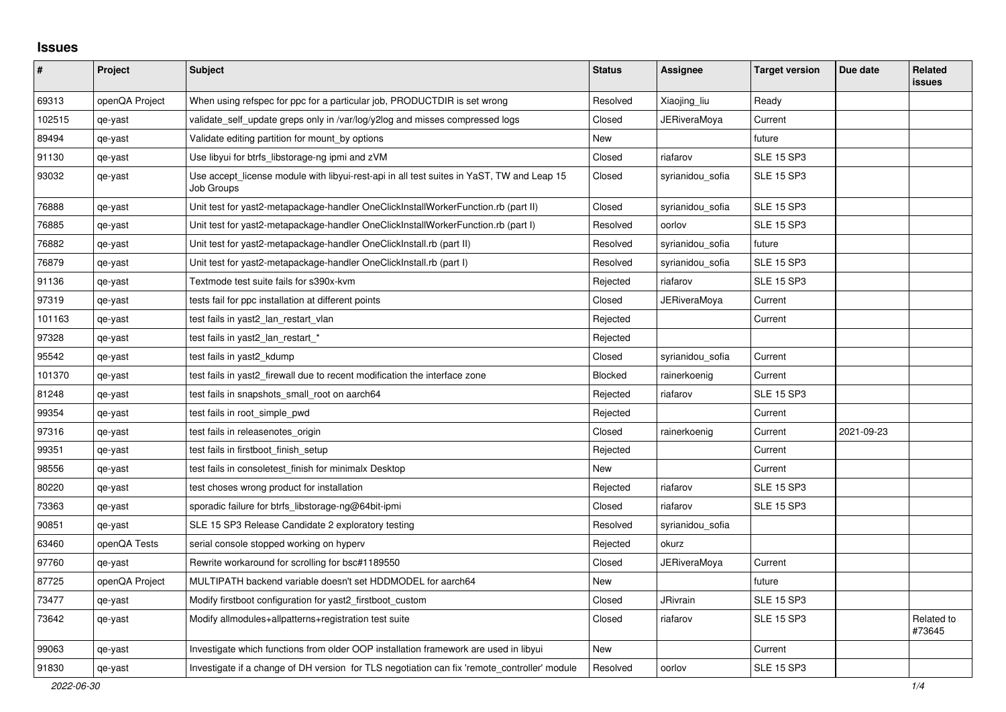## **Issues**

| #      | Project        | <b>Subject</b>                                                                                          | <b>Status</b> | Assignee         | <b>Target version</b> | Due date   | <b>Related</b><br><b>issues</b> |
|--------|----------------|---------------------------------------------------------------------------------------------------------|---------------|------------------|-----------------------|------------|---------------------------------|
| 69313  | openQA Project | When using refspec for ppc for a particular job, PRODUCTDIR is set wrong                                | Resolved      | Xiaojing liu     | Ready                 |            |                                 |
| 102515 | qe-yast        | validate self update greps only in /var/log/y2log and misses compressed logs                            | Closed        | JERiveraMoya     | Current               |            |                                 |
| 89494  | qe-yast        | Validate editing partition for mount_by options                                                         | New           |                  | future                |            |                                 |
| 91130  | qe-yast        | Use libyui for btrfs_libstorage-ng ipmi and zVM                                                         | Closed        | riafarov         | <b>SLE 15 SP3</b>     |            |                                 |
| 93032  | qe-yast        | Use accept license module with libyui-rest-api in all test suites in YaST, TW and Leap 15<br>Job Groups | Closed        | syrianidou sofia | <b>SLE 15 SP3</b>     |            |                                 |
| 76888  | qe-yast        | Unit test for yast2-metapackage-handler OneClickInstallWorkerFunction.rb (part II)                      | Closed        | syrianidou_sofia | <b>SLE 15 SP3</b>     |            |                                 |
| 76885  | qe-yast        | Unit test for yast2-metapackage-handler OneClickInstallWorkerFunction.rb (part I)                       | Resolved      | oorlov           | <b>SLE 15 SP3</b>     |            |                                 |
| 76882  | qe-yast        | Unit test for yast2-metapackage-handler OneClickInstall.rb (part II)                                    | Resolved      | syrianidou_sofia | future                |            |                                 |
| 76879  | qe-yast        | Unit test for yast2-metapackage-handler OneClickInstall.rb (part I)                                     | Resolved      | syrianidou_sofia | <b>SLE 15 SP3</b>     |            |                                 |
| 91136  | qe-yast        | Textmode test suite fails for s390x-kvm                                                                 | Rejected      | riafarov         | <b>SLE 15 SP3</b>     |            |                                 |
| 97319  | qe-yast        | tests fail for ppc installation at different points                                                     | Closed        | JERiveraMoya     | Current               |            |                                 |
| 101163 | qe-yast        | test fails in yast2_lan_restart_vlan                                                                    | Rejected      |                  | Current               |            |                                 |
| 97328  | qe-yast        | test fails in yast2_lan_restart_*                                                                       | Rejected      |                  |                       |            |                                 |
| 95542  | qe-yast        | test fails in yast2 kdump                                                                               | Closed        | syrianidou sofia | Current               |            |                                 |
| 101370 | qe-yast        | test fails in yast2_firewall due to recent modification the interface zone                              | Blocked       | rainerkoenig     | Current               |            |                                 |
| 81248  | qe-yast        | test fails in snapshots small root on aarch64                                                           | Rejected      | riafarov         | <b>SLE 15 SP3</b>     |            |                                 |
| 99354  | qe-yast        | test fails in root simple pwd                                                                           | Rejected      |                  | Current               |            |                                 |
| 97316  | qe-yast        | test fails in releasenotes origin                                                                       | Closed        | rainerkoenig     | Current               | 2021-09-23 |                                 |
| 99351  | qe-yast        | test fails in firstboot_finish_setup                                                                    | Rejected      |                  | Current               |            |                                 |
| 98556  | qe-yast        | test fails in consoletest finish for minimalx Desktop                                                   | <b>New</b>    |                  | Current               |            |                                 |
| 80220  | qe-yast        | test choses wrong product for installation                                                              | Rejected      | riafarov         | <b>SLE 15 SP3</b>     |            |                                 |
| 73363  | qe-yast        | sporadic failure for btrfs_libstorage-ng@64bit-ipmi                                                     | Closed        | riafarov         | <b>SLE 15 SP3</b>     |            |                                 |
| 90851  | qe-yast        | SLE 15 SP3 Release Candidate 2 exploratory testing                                                      | Resolved      | syrianidou_sofia |                       |            |                                 |
| 63460  | openQA Tests   | serial console stopped working on hyperv                                                                | Rejected      | okurz            |                       |            |                                 |
| 97760  | qe-yast        | Rewrite workaround for scrolling for bsc#1189550                                                        | Closed        | JERiveraMoya     | Current               |            |                                 |
| 87725  | openQA Project | MULTIPATH backend variable doesn't set HDDMODEL for aarch64                                             | New           |                  | future                |            |                                 |
| 73477  | qe-yast        | Modify firstboot configuration for yast2_firstboot_custom                                               | Closed        | <b>JRivrain</b>  | <b>SLE 15 SP3</b>     |            |                                 |
| 73642  | qe-yast        | Modify allmodules+allpatterns+registration test suite                                                   | Closed        | riafarov         | <b>SLE 15 SP3</b>     |            | Related to<br>#73645            |
| 99063  | qe-yast        | Investigate which functions from older OOP installation framework are used in libyui                    | New           |                  | Current               |            |                                 |
| 91830  | qe-yast        | Investigate if a change of DH version for TLS negotiation can fix 'remote controller' module            | Resolved      | oorlov           | <b>SLE 15 SP3</b>     |            |                                 |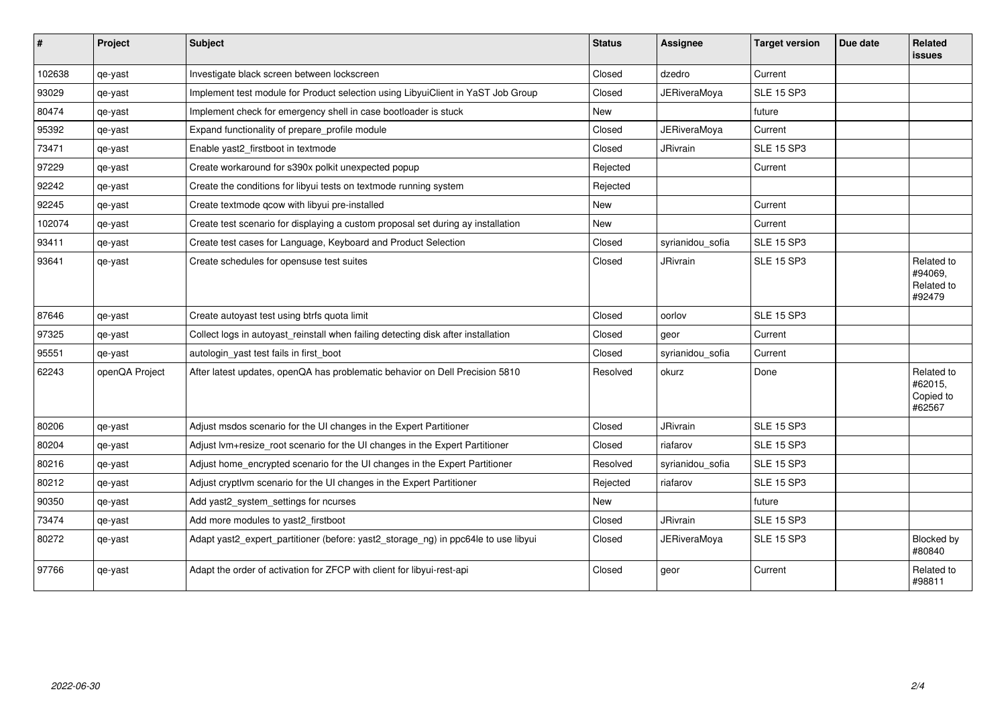| $\sharp$ | Project        | Subject                                                                            | <b>Status</b> | <b>Assignee</b>     | <b>Target version</b> | Due date | <b>Related</b><br><b>issues</b>               |
|----------|----------------|------------------------------------------------------------------------------------|---------------|---------------------|-----------------------|----------|-----------------------------------------------|
| 102638   | qe-yast        | Investigate black screen between lockscreen                                        | Closed        | dzedro              | Current               |          |                                               |
| 93029    | qe-yast        | Implement test module for Product selection using LibyuiClient in YaST Job Group   | Closed        | <b>JERiveraMoya</b> | <b>SLE 15 SP3</b>     |          |                                               |
| 80474    | qe-yast        | Implement check for emergency shell in case bootloader is stuck                    | <b>New</b>    |                     | future                |          |                                               |
| 95392    | qe-yast        | Expand functionality of prepare_profile module                                     | Closed        | <b>JERiveraMoya</b> | Current               |          |                                               |
| 73471    | qe-yast        | Enable yast2_firstboot in textmode                                                 | Closed        | <b>JRivrain</b>     | <b>SLE 15 SP3</b>     |          |                                               |
| 97229    | qe-yast        | Create workaround for s390x polkit unexpected popup                                | Rejected      |                     | Current               |          |                                               |
| 92242    | qe-yast        | Create the conditions for libyui tests on textmode running system                  | Rejected      |                     |                       |          |                                               |
| 92245    | qe-yast        | Create textmode qcow with libyui pre-installed                                     | New           |                     | Current               |          |                                               |
| 102074   | qe-yast        | Create test scenario for displaying a custom proposal set during ay installation   | <b>New</b>    |                     | Current               |          |                                               |
| 93411    | qe-yast        | Create test cases for Language, Keyboard and Product Selection                     | Closed        | syrianidou sofia    | <b>SLE 15 SP3</b>     |          |                                               |
| 93641    | qe-yast        | Create schedules for opensuse test suites                                          | Closed        | JRivrain            | <b>SLE 15 SP3</b>     |          | Related to<br>#94069,<br>Related to<br>#92479 |
| 87646    | qe-yast        | Create autoyast test using btrfs quota limit                                       | Closed        | oorlov              | <b>SLE 15 SP3</b>     |          |                                               |
| 97325    | qe-yast        | Collect logs in autoyast_reinstall when failing detecting disk after installation  | Closed        | geor                | Current               |          |                                               |
| 95551    | qe-yast        | autologin yast test fails in first boot                                            | Closed        | syrianidou sofia    | Current               |          |                                               |
| 62243    | openQA Project | After latest updates, openQA has problematic behavior on Dell Precision 5810       | Resolved      | okurz               | Done                  |          | Related to<br>#62015,<br>Copied to<br>#62567  |
| 80206    | qe-yast        | Adjust msdos scenario for the UI changes in the Expert Partitioner                 | Closed        | <b>JRivrain</b>     | <b>SLE 15 SP3</b>     |          |                                               |
| 80204    | qe-yast        | Adjust lvm+resize_root scenario for the UI changes in the Expert Partitioner       | Closed        | riafarov            | <b>SLE 15 SP3</b>     |          |                                               |
| 80216    | qe-yast        | Adjust home_encrypted scenario for the UI changes in the Expert Partitioner        | Resolved      | syrianidou sofia    | <b>SLE 15 SP3</b>     |          |                                               |
| 80212    | qe-yast        | Adjust cryptivm scenario for the UI changes in the Expert Partitioner              | Rejected      | riafarov            | <b>SLE 15 SP3</b>     |          |                                               |
| 90350    | qe-yast        | Add yast2_system_settings for ncurses                                              | New           |                     | future                |          |                                               |
| 73474    | qe-yast        | Add more modules to yast2_firstboot                                                | Closed        | <b>JRivrain</b>     | <b>SLE 15 SP3</b>     |          |                                               |
| 80272    | qe-yast        | Adapt yast2_expert_partitioner (before: yast2_storage_ng) in ppc64le to use libyui | Closed        | <b>JERiveraMoya</b> | <b>SLE 15 SP3</b>     |          | Blocked by<br>#80840                          |
| 97766    | qe-yast        | Adapt the order of activation for ZFCP with client for libyui-rest-api             | Closed        | geor                | Current               |          | Related to<br>#98811                          |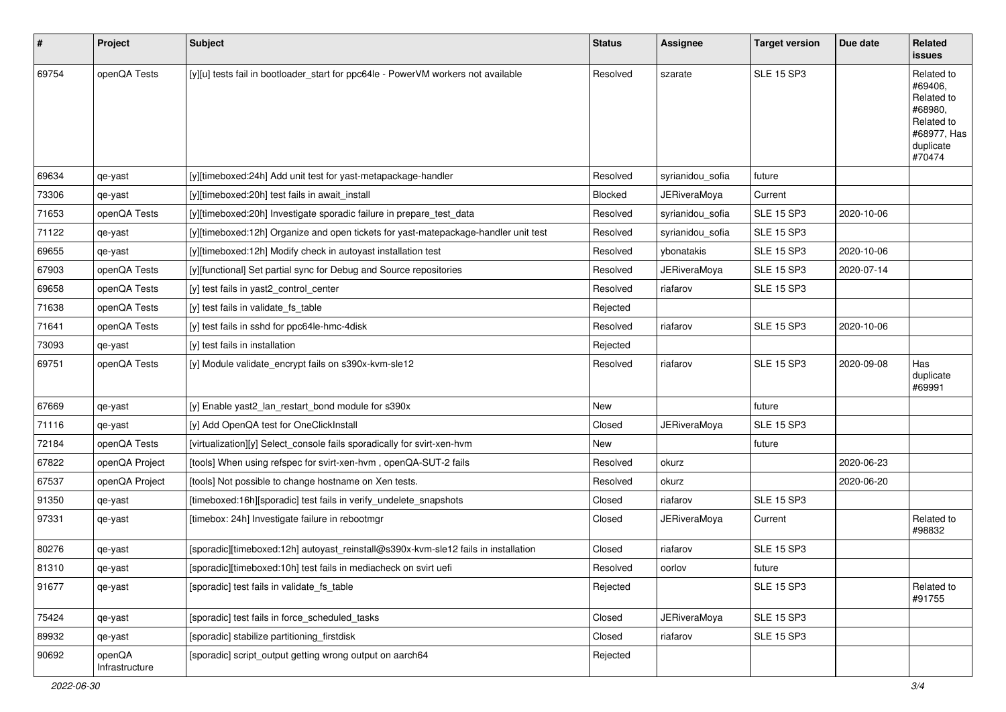| $\sharp$ | Project                  | <b>Subject</b>                                                                      | <b>Status</b> | Assignee            | <b>Target version</b> | Due date   | Related<br>issues                                                                                  |
|----------|--------------------------|-------------------------------------------------------------------------------------|---------------|---------------------|-----------------------|------------|----------------------------------------------------------------------------------------------------|
| 69754    | openQA Tests             | [y][u] tests fail in bootloader_start for ppc64le - PowerVM workers not available   | Resolved      | szarate             | <b>SLE 15 SP3</b>     |            | Related to<br>#69406,<br>Related to<br>#68980,<br>Related to<br>#68977, Has<br>duplicate<br>#70474 |
| 69634    | qe-yast                  | [y][timeboxed:24h] Add unit test for yast-metapackage-handler                       | Resolved      | syrianidou_sofia    | future                |            |                                                                                                    |
| 73306    | qe-yast                  | [y][timeboxed:20h] test fails in await_install                                      | Blocked       | <b>JERiveraMoya</b> | Current               |            |                                                                                                    |
| 71653    | openQA Tests             | [y][timeboxed:20h] Investigate sporadic failure in prepare test data                | Resolved      | syrianidou_sofia    | <b>SLE 15 SP3</b>     | 2020-10-06 |                                                                                                    |
| 71122    | qe-yast                  | [y][timeboxed:12h] Organize and open tickets for yast-matepackage-handler unit test | Resolved      | syrianidou_sofia    | <b>SLE 15 SP3</b>     |            |                                                                                                    |
| 69655    | qe-yast                  | [y][timeboxed:12h] Modify check in autoyast installation test                       | Resolved      | ybonatakis          | <b>SLE 15 SP3</b>     | 2020-10-06 |                                                                                                    |
| 67903    | openQA Tests             | [y][functional] Set partial sync for Debug and Source repositories                  | Resolved      | <b>JERiveraMoya</b> | <b>SLE 15 SP3</b>     | 2020-07-14 |                                                                                                    |
| 69658    | openQA Tests             | [y] test fails in yast2_control_center                                              | Resolved      | riafarov            | <b>SLE 15 SP3</b>     |            |                                                                                                    |
| 71638    | openQA Tests             | [y] test fails in validate_fs_table                                                 | Rejected      |                     |                       |            |                                                                                                    |
| 71641    | openQA Tests             | [y] test fails in sshd for ppc64le-hmc-4disk                                        | Resolved      | riafarov            | <b>SLE 15 SP3</b>     | 2020-10-06 |                                                                                                    |
| 73093    | qe-yast                  | [y] test fails in installation                                                      | Rejected      |                     |                       |            |                                                                                                    |
| 69751    | openQA Tests             | [y] Module validate_encrypt fails on s390x-kvm-sle12                                | Resolved      | riafarov            | <b>SLE 15 SP3</b>     | 2020-09-08 | Has<br>duplicate<br>#69991                                                                         |
| 67669    | qe-yast                  | [y] Enable yast2_lan_restart_bond module for s390x                                  | New           |                     | future                |            |                                                                                                    |
| 71116    | qe-yast                  | [y] Add OpenQA test for OneClickInstall                                             | Closed        | <b>JERiveraMoya</b> | <b>SLE 15 SP3</b>     |            |                                                                                                    |
| 72184    | openQA Tests             | [virtualization][y] Select_console fails sporadically for svirt-xen-hvm             | New           |                     | future                |            |                                                                                                    |
| 67822    | openQA Project           | [tools] When using refspec for svirt-xen-hvm, openQA-SUT-2 fails                    | Resolved      | okurz               |                       | 2020-06-23 |                                                                                                    |
| 67537    | openQA Project           | [tools] Not possible to change hostname on Xen tests.                               | Resolved      | okurz               |                       | 2020-06-20 |                                                                                                    |
| 91350    | qe-yast                  | [timeboxed:16h][sporadic] test fails in verify_undelete_snapshots                   | Closed        | riafarov            | <b>SLE 15 SP3</b>     |            |                                                                                                    |
| 97331    | qe-yast                  | [timebox: 24h] Investigate failure in rebootmgr                                     | Closed        | JERiveraMoya        | Current               |            | Related to<br>#98832                                                                               |
| 80276    | qe-yast                  | [sporadic][timeboxed:12h] autoyast_reinstall@s390x-kvm-sle12 fails in installation  | Closed        | riafarov            | <b>SLE 15 SP3</b>     |            |                                                                                                    |
| 81310    | qe-yast                  | [sporadic][timeboxed:10h] test fails in mediacheck on svirt uefi                    | Resolved      | oorlov              | future                |            |                                                                                                    |
| 91677    | qe-yast                  | [sporadic] test fails in validate_fs_table                                          | Rejected      |                     | <b>SLE 15 SP3</b>     |            | Related to<br>#91755                                                                               |
| 75424    | qe-yast                  | [sporadic] test fails in force_scheduled_tasks                                      | Closed        | <b>JERiveraMoya</b> | <b>SLE 15 SP3</b>     |            |                                                                                                    |
| 89932    | qe-yast                  | [sporadic] stabilize partitioning_firstdisk                                         | Closed        | riafarov            | <b>SLE 15 SP3</b>     |            |                                                                                                    |
| 90692    | openQA<br>Infrastructure | [sporadic] script_output getting wrong output on aarch64                            | Rejected      |                     |                       |            |                                                                                                    |